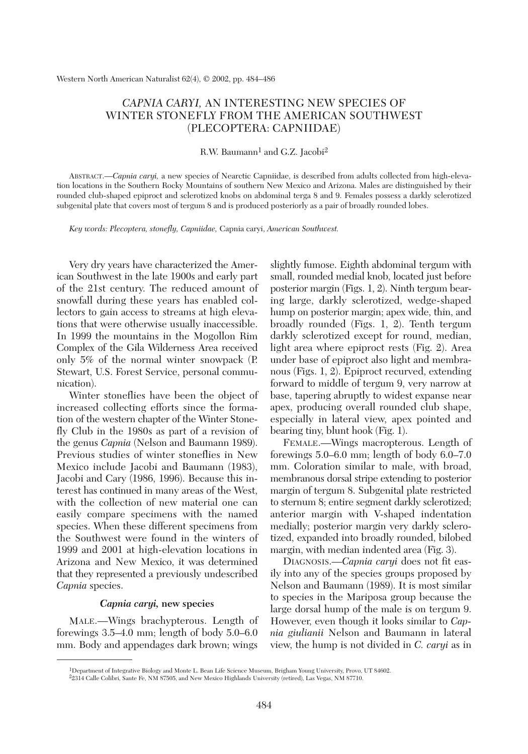# *CAPNIA CARYI,* AN INTERESTING NEW SPECIES OF WINTER STONEFLY FROM THE AMERICAN SOUTHWEST (PLECOPTERA: CAPNIIDAE)

## R.W. Baumann<sup>1</sup> and G.Z. Jacobi<sup>2</sup>

ABSTRACT.—*Capnia caryi,* a new species of Nearctic Capniidae, is described from adults collected from high-elevation locations in the Southern Rocky Mountains of southern New Mexico and Arizona. Males are distinguished by their rounded club-shaped epiproct and sclerotized knobs on abdominal terga 8 and 9. Females possess a darkly sclerotized subgenital plate that covers most of tergum 8 and is produced posteriorly as a pair of broadly rounded lobes.

*Key words: Plecoptera, stonefly, Capniidae,* Capnia caryi, *American Southwest.*

Very dry years have characterized the American Southwest in the late 1900s and early part of the 21st century. The reduced amount of snowfall during these years has enabled collectors to gain access to streams at high elevations that were otherwise usually inaccessible. In 1999 the mountains in the Mogollon Rim Complex of the Gila Wilderness Area received only 5% of the normal winter snowpack (P. Stewart, U.S. Forest Service, personal communication).

Winter stoneflies have been the object of increased collecting efforts since the formation of the western chapter of the Winter Stonefly Club in the 1980s as part of a revision of the genus *Capnia* (Nelson and Baumann 1989). Previous studies of winter stoneflies in New Mexico include Jacobi and Baumann (1983), Jacobi and Cary (1986, 1996). Because this interest has continued in many areas of the West, with the collection of new material one can easily compare specimens with the named species. When these different specimens from the Southwest were found in the winters of 1999 and 2001 at high-elevation locations in Arizona and New Mexico, it was determined that they represented a previously undescribed *Capnia* species.

## *Capnia caryi,* **new species**

MALE.—Wings brachypterous. Length of forewings 3.5–4.0 mm; length of body 5.0–6.0 mm. Body and appendages dark brown; wings

slightly fumose. Eighth abdominal tergum with small, rounded medial knob, located just before posterior margin (Figs. 1, 2). Ninth tergum bearing large, darkly sclerotized, wedge-shaped hump on posterior margin; apex wide, thin, and broadly rounded (Figs. 1, 2). Tenth tergum darkly sclerotized except for round, median, light area where epiproct rests (Fig. 2). Area under base of epiproct also light and membranous (Figs. 1, 2). Epiproct recurved, extending forward to middle of tergum 9, very narrow at base, tapering abruptly to widest expanse near apex, producing overall rounded club shape, especially in lateral view, apex pointed and bearing tiny, blunt hook (Fig. 1).

FEMALE.—Wings macropterous. Length of forewings 5.0–6.0 mm; length of body 6.0–7.0 mm. Coloration similar to male, with broad, membranous dorsal stripe extending to posterior margin of tergum 8. Subgenital plate restricted to sternum 8; entire segment darkly sclerotized; anterior margin with V-shaped indentation medially; posterior margin very darkly sclerotized, expanded into broadly rounded, bilobed margin, with median indented area (Fig. 3).

DIAGNOSIS.—*Capnia caryi* does not fit easily into any of the species groups proposed by Nelson and Baumann (1989). It is most similar to species in the Mariposa group because the large dorsal hump of the male is on tergum 9. However, even though it looks similar to *Capnia giulianii* Nelson and Baumann in lateral view, the hump is not divided in *C. caryi* as in

<sup>1</sup>Department of Integrative Biology and Monte L. Bean Life Science Museum, Brigham Young University, Provo, UT 84602. 22314 Calle Colibri, Sante Fe, NM 87505, and New Mexico Highlands University (retired), Las Vegas, NM 87710.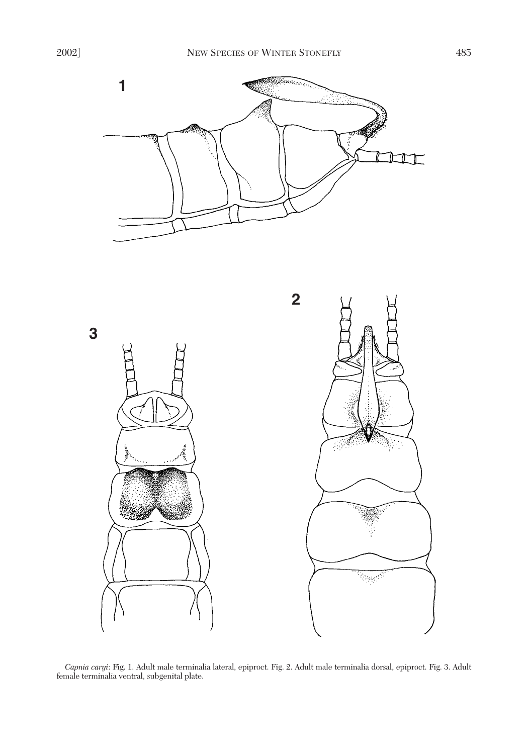



*Capnia caryi*: Fig. 1. Adult male terminalia lateral, epiproct. Fig. 2. Adult male terminalia dorsal, epiproct. Fig. 3. Adult female terminalia ventral, subgenital plate.